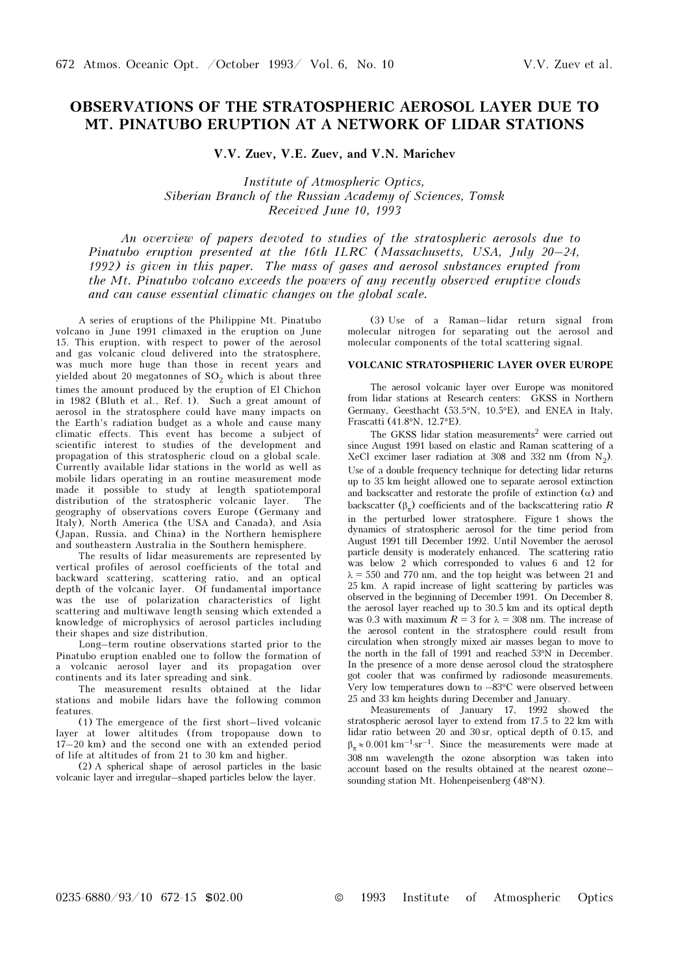# OBSERVATIONS OF THE STRATOSPHERIC AEROSOL LAYER DUE TO MT. PINATUBO ERUPTION AT A NETWORK OF LIDAR STATIONS

V.V. Zuev, V.E. Zuev, and V.N. Marichev

Institute of Atmospheric Optics, Siberian Branch of the Russian Academy of Sciences, Tomsk Received June 10, 1993

An overview of papers devoted to studies of the stratospheric aerosols due to Pinatubo eruption presented at the 16th ILRC (Massachusetts, USA, July 20–24, 1992) is given in this paper. The mass of gases and aerosol substances erupted from the Mt. Pinatubo volcano exceeds the powers of any recently observed eruptive clouds and can cause essential climatic changes on the global scale.

A series of eruptions of the Philippine Mt. Pinatubo volcano in June 1991 climaxed in the eruption on June 15. This eruption, with respect to power of the aerosol and gas volcanic cloud delivered into the stratosphere, was much more huge than those in recent years and yielded about 20 megatonnes of  $SO<sub>2</sub>$  which is about three times the amount produced by the eruption of El Chichon in 1982 (Bluth et al., Ref. 1). Such a great amount of aerosol in the stratosphere could have many impacts on the Earth's radiation budget as a whole and cause many climatic effects. This event has become a subject of scientific interest to studies of the development and propagation of this stratospheric cloud on a global scale. Currently available lidar stations in the world as well as mobile lidars operating in an routine measurement mode made it possible to study at length spatiotemporal distribution of the stratospheric volcanic laver. The distribution of the stratospheric volcanic layer. geography of observations covers Europe (Germany and Italy), North America (the USA and Canada), and Asia (Japan, Russia, and China) in the Northern hemisphere and southeastern Australia in the Southern hemisphere.

The results of lidar measurements are represented by vertical profiles of aerosol coefficients of the total and backward scattering, scattering ratio, and an optical depth of the volcanic layer. Of fundamental importance was the use of polarization characteristics of light scattering and multiwave length sensing which extended a knowledge of microphysics of aerosol particles including their shapes and size distribution.

Long–term routine observations started prior to the Pinatubo eruption enabled one to follow the formation of a volcanic aerosol layer and its propagation over continents and its later spreading and sink.

The measurement results obtained at the lidar stations and mobile lidars have the following common features.

(1) The emergence of the first short–lived volcanic layer at lower altitudes (from tropopause down to  $17-20$  km) and the second one with an extended period of life at altitudes of from 21 to 30 km and higher.

(2) A spherical shape of aerosol particles in the basic volcanic layer and irregular–shaped particles below the layer.

(3) Use of a Raman–lidar return signal from molecular nitrogen for separating out the aerosol and molecular components of the total scattering signal.

# VOLCANIC STRATOSPHERIC LAYER OVER EUROPE

The aerosol volcanic layer over Europe was monitored from lidar stations at Research centers: GKSS in Northern Germany, Geesthacht (53.5°N, 10.5°E), and ENEA in Italy, Frascatti (41.8°N, 12.7°E).

The GKSS lidar station measurements<sup>2</sup> were carried out since August 1991 based on elastic and Raman scattering of a XeCl excimer laser radiation at 308 and 332 nm (from  $N_2$ ). Use of a double frequency technique for detecting lidar returns up to 35 km height allowed one to separate aerosol extinction and backscatter and restorate the profile of extinction  $(\alpha)$  and backscatter ( $\beta$ ) coefficients and of the backscattering ratio R in the perturbed lower stratosphere. Figure 1 shows the dynamics of stratospheric aerosol for the time period from August 1991 till December 1992. Until November the aerosol particle density is moderately enhanced. The scattering ratio was below 2 which corresponded to values 6 and 12 for  $\lambda = 550$  and 770 nm, and the top height was between 21 and 25 km. A rapid increase of light scattering by particles was observed in the beginning of December 1991. On December 8, the aerosol layer reached up to 30.5 km and its optical depth was 0.3 with maximum  $R = 3$  for  $\lambda = 308$  nm. The increase of the aerosol content in the stratosphere could result from circulation when strongly mixed air masses began to move to the north in the fall of 1991 and reached 53°N in December. In the presence of a more dense aerosol cloud the stratosphere got cooler that was confirmed by radiosonde measurements. Very low temperatures down to –83°C were observed between 25 and 33 km heights during December and January.

Measurements of January 17, 1992 showed the stratospheric aerosol layer to extend from 17.5 to 22 km with lidar ratio between 20 and 30 sr, optical depth of 0.15, and  $\beta_-\approx 0.001~{\rm km^{-1} sr^{-1}}.$  Since the measurements were made at 308 nm wavelength the ozone absorption was taken into account based on the results obtained at the nearest ozone– sounding station Mt. Hohenpeisenberg (48°N).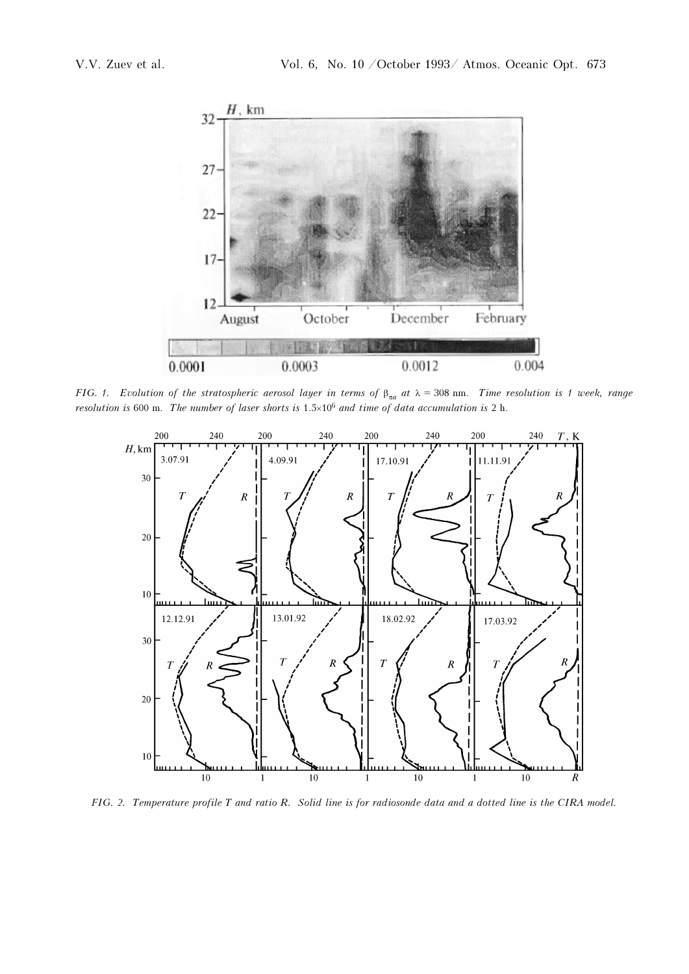

FIG. 1. Evolution of the stratospheric aerosol layer in terms of  $\beta_{\pi a}$  at  $\lambda = 308$  nm. Time resolution is 1 week, range resolution is 600 m. The number of laser shorts is  $1.5 \times 10^6$  and time of data accumulation is 2 h.



FIG. 2. Temperature profile T and ratio R. Solid line is for radiosonde data and a dotted line is the CIRA model.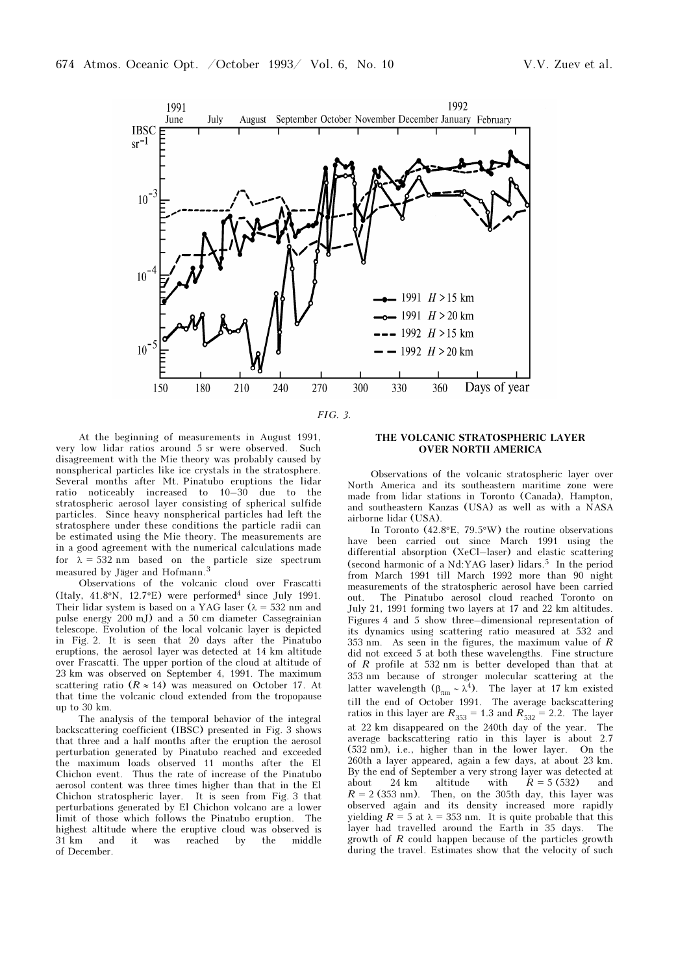

FIG. 3.

At the beginning of measurements in August 1991, very low lidar ratios around 5 sr were observed. Such disagreement with the Mie theory was probably caused by nonspherical particles like ice crystals in the stratosphere. Several months after Mt. Pinatubo eruptions the lidar ratio noticeably increased to 10–30 due to the stratospheric aerosol layer consisting of spherical sulfide particles. Since heavy nonspherical particles had left the stratosphere under these conditions the particle radii can be estimated using the Mie theory. The measurements are in a good agreement with the numerical calculations made for  $\lambda = 532$  nm based on the particle size spectrum measured by Jäger and Hofmann.<sup>3</sup>

Observations of the volcanic cloud over Frascatti (Italy,  $41.8\textdegree N$ ,  $12.7\textdegree E$ ) were performed<sup>4</sup> since July 1991. Their lidar system is based on a YAG laser ( $\lambda = 532$  nm and pulse energy 200 mJ) and a 50 cm diameter Cassegrainian telescope. Evolution of the local volcanic layer is depicted in Fig. 2. It is seen that 20 days after the Pinatubo eruptions, the aerosol layer was detected at 14 km altitude over Frascatti. The upper portion of the cloud at altitude of 23 km was observed on September 4, 1991. The maximum scattering ratio ( $R \approx 14$ ) was measured on October 17. At that time the volcanic cloud extended from the tropopause up to 30 km.

The analysis of the temporal behavior of the integral backscattering coefficient (IBSC) presented in Fig. 3 shows that three and a half months after the eruption the aerosol perturbation generated by Pinatubo reached and exceeded the maximum loads observed 11 months after the El Chichon event. Thus the rate of increase of the Pinatubo aerosol content was three times higher than that in the El Chichon stratospheric layer. It is seen from Fig. 3 that perturbations generated by El Chichon volcano are a lower limit of those which follows the Pinatubo eruption. The highest altitude where the eruptive cloud was observed is 31 km and it was reached by the middle of December.

### THE VOLCANIC STRATOSPHERIC LAYER OVER NORTH AMERICA

Observations of the volcanic stratospheric layer over North America and its southeastern maritime zone were made from lidar stations in Toronto (Canada), Hampton, and southeastern Kanzas (USA) as well as with a NASA airborne lidar (USA).

In Toronto (42.8°E, 79.5°W) the routine observations have been carried out since March 1991 using the differential absorption (XeCl–laser) and elastic scattering (second harmonic of a Nd:YAG laser) lidars.<sup>5</sup> In the period from March 1991 till March 1992 more than 90 night measurements of the stratospheric aerosol have been carried out. The Pinatubo aerosol cloud reached Toronto on July 21, 1991 forming two layers at 17 and 22 km altitudes. Figures 4 and 5 show three–dimensional representation of its dynamics using scattering ratio measured at 532 and 353 nm. As seen in the figures, the maximum value of R did not exceed 5 at both these wavelengths. Fine structure of R profile at 532 nm is better developed than that at 353 nm because of stronger molecular scattering at the latter wavelength ( $\beta_{\pi m} \sim \lambda^4$ ). The layer at 17 km existed till the end of October 1991. The average backscattering ratios in this layer are  $R_{353} = 1.3$  and  $R_{532} = 2.2$ . The layer at 22 km disappeared on the 240th day of the year. The average backscattering ratio in this layer is about 2.7 (532 nm), i.e., higher than in the lower layer. On the 260th a layer appeared, again a few days, at about 23 km. By the end of September a very strong layer was detected at about 24 km altitude with  $R = 5(532)$  and  $R = 2$  (353 nm). Then, on the 305th day, this layer was observed again and its density increased more rapidly yielding  $R = 5$  at  $\lambda = 353$  nm. It is quite probable that this layer had travelled around the Earth in 35 days. The growth of R could happen because of the particles growth during the travel. Estimates show that the velocity of such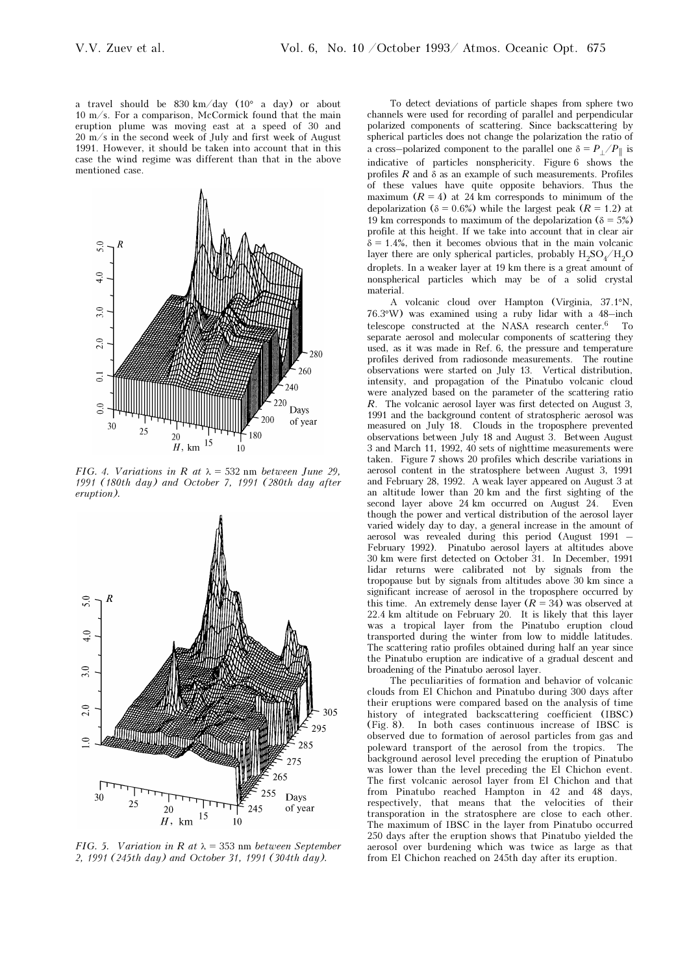a travel should be 830 km/day (10° a day) or about 10 m/s. For a comparison, McCormick found that the main eruption plume was moving east at a speed of 30 and  $20 \text{ m/s}$  in the second week of July and first week of August 1991. However, it should be taken into account that in this case the wind regime was different than that in the above mentioned case.



FIG. 4. Variations in R at  $\lambda = 532$  nm between June 29. 1991 (180th day) and October 7, 1991 (280th day after eruption).



FIG. 5. Variation in R at  $\lambda = 353$  nm between September 2, 1991 (245th day) and October 31, 1991 (304th day).

To detect deviations of particle shapes from sphere two channels were used for recording of parallel and perpendicular polarized components of scattering. Since backscattering by spherical particles does not change the polarization the ratio of a cross–polarized component to the parallel one  $\delta = P_{\perp}/P_{\perp}$  is indicative of particles nonsphericity. Figure 6 shows the profiles  $R$  and  $\delta$  as an example of such measurements. Profiles of these values have quite opposite behaviors. Thus the maximum  $(R = 4)$  at 24 km corresponds to minimum of the depolarization ( $\delta = 0.6\%$ ) while the largest peak ( $R = 1.2$ ) at 19 km corresponds to maximum of the depolarization ( $\delta = 5\%$ ) profile at this height. If we take into account that in clear air  $\delta = 1.4\%$ , then it becomes obvious that in the main volcanic layer there are only spherical particles, probably  $H_2SO_4/H_2O$ droplets. In a weaker layer at 19 km there is a great amount of nonspherical particles which may be of a solid crystal material.

A volcanic cloud over Hampton (Virginia, 37.1°N, 76.3°W) was examined using a ruby lidar with a 48–inch telescope constructed at the NASA research center.6 To separate aerosol and molecular components of scattering they used, as it was made in Ref. 6, the pressure and temperature profiles derived from radiosonde measurements. The routine observations were started on July 13. Vertical distribution, intensity, and propagation of the Pinatubo volcanic cloud were analyzed based on the parameter of the scattering ratio R. The volcanic aerosol layer was first detected on August 3, 1991 and the background content of stratospheric aerosol was measured on July 18. Clouds in the troposphere prevented observations between July 18 and August 3. Between August 3 and March 11, 1992, 40 sets of nighttime measurements were taken. Figure 7 shows 20 profiles which describe variations in aerosol content in the stratosphere between August 3, 1991 and February 28, 1992. A weak layer appeared on August 3 at an altitude lower than 20 km and the first sighting of the second layer above 24 km occurred on August 24. Even though the power and vertical distribution of the aerosol layer varied widely day to day, a general increase in the amount of aerosol was revealed during this period (August 1991 – February 1992). Pinatubo aerosol layers at altitudes above 30 km were first detected on October 31. In December, 1991 lidar returns were calibrated not by signals from the tropopause but by signals from altitudes above 30 km since a significant increase of aerosol in the troposphere occurred by this time. An extremely dense layer  $(R = 34)$  was observed at 22.4 km altitude on February 20. It is likely that this layer was a tropical layer from the Pinatubo eruption cloud transported during the winter from low to middle latitudes. The scattering ratio profiles obtained during half an year since the Pinatubo eruption are indicative of a gradual descent and broadening of the Pinatubo aerosol layer.

The peculiarities of formation and behavior of volcanic clouds from El Chichon and Pinatubo during 300 days after their eruptions were compared based on the analysis of time history of integrated backscattering coefficient (IBSC) (Fig. 8). In both cases continuous increase of IBSC is observed due to formation of aerosol particles from gas and poleward transport of the aerosol from the tropics. The background aerosol level preceding the eruption of Pinatubo was lower than the level preceding the El Chichon event. The first volcanic aerosol layer from El Chichon and that from Pinatubo reached Hampton in 42 and 48 days, respectively, that means that the velocities of their transporation in the stratosphere are close to each other. The maximum of IBSC in the layer from Pinatubo occurred 250 days after the eruption shows that Pinatubo yielded the aerosol over burdening which was twice as large as that from El Chichon reached on 245th day after its eruption.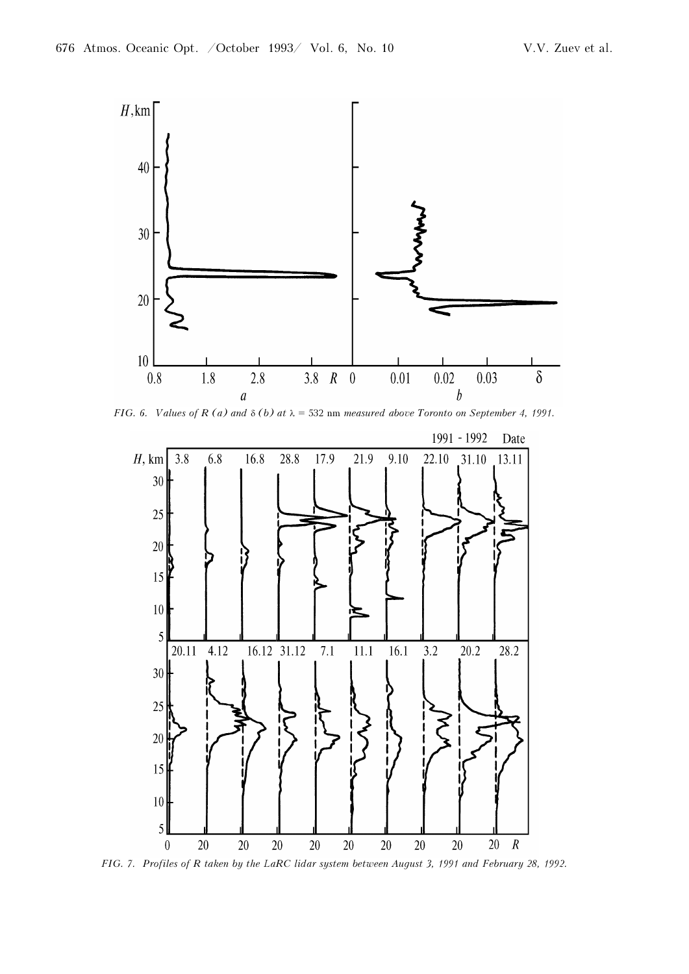

FIG. 6. Values of R (a) and  $\delta$  (b) at  $\lambda$  = 532 nm measured above Toronto on September 4, 1991.



FIG. 7. Profiles of R taken by the LaRC lidar system between August 3, 1991 and February 28, 1992.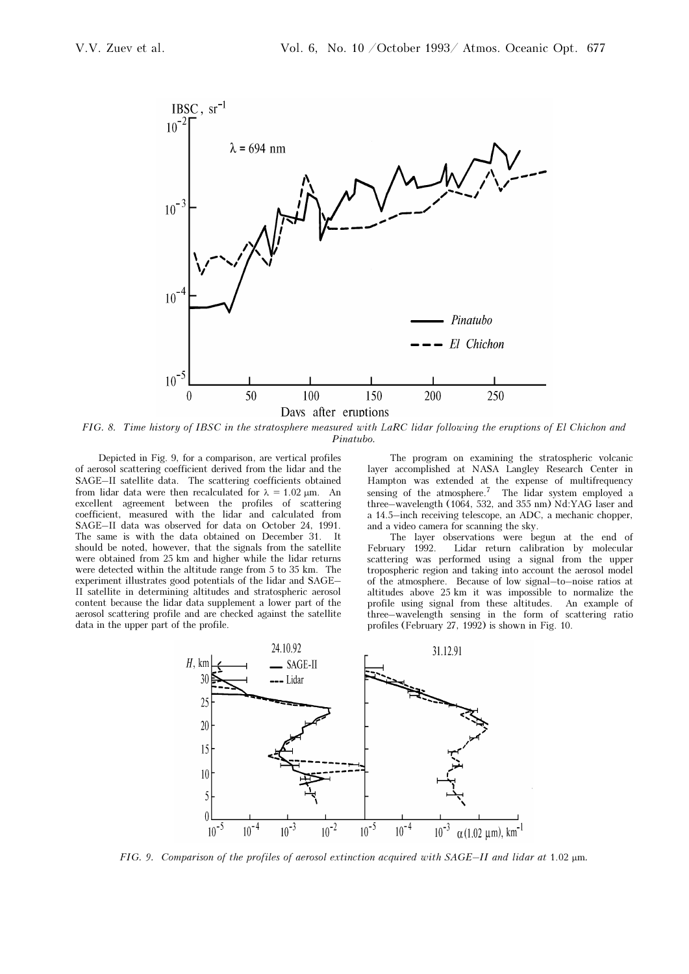

FIG. 8. Time history of IBSC in the stratosphere measured with LaRC lidar following the eruptions of El Chichon and Pinatubo.

Depicted in Fig. 9, for a comparison, are vertical profiles of aerosol scattering coefficient derived from the lidar and the SAGE–II satellite data. The scattering coefficients obtained from lidar data were then recalculated for  $\lambda = 1.02$  μm. An excellent agreement between the profiles of scattering coefficient, measured with the lidar and calculated from SAGE–II data was observed for data on October 24, 1991. The same is with the data obtained on December 31. It should be noted, however, that the signals from the satellite were obtained from 25 km and higher while the lidar returns were detected within the altitude range from 5 to 35 km. The experiment illustrates good potentials of the lidar and SAGE– II satellite in determining altitudes and stratospheric aerosol content because the lidar data supplement a lower part of the aerosol scattering profile and are checked against the satellite data in the upper part of the profile.

The program on examining the stratospheric volcanic layer accomplished at NASA Langley Research Center in Hampton was extended at the expense of multifrequency sensing of the atmosphere.<sup>7</sup> The lidar system employed a three–wavelength (1064, 532, and 355 nm) Nd:YAG laser and a 14.5–inch receiving telescope, an ADC, a mechanic chopper, and a video camera for scanning the sky.

The layer observations were begun at the end of February 1992. Lidar return calibration by molecular scattering was performed using a signal from the upper tropospheric region and taking into account the aerosol model of the atmosphere. Because of low signal–to–noise ratios at altitudes above 25 km it was impossible to normalize the profile using signal from these altitudes. An example of three–wavelength sensing in the form of scattering ratio profiles (February 27, 1992) is shown in Fig. 10.



FIG. 9. Comparison of the profiles of aerosol extinction acquired with SAGE–II and lidar at 1.02 μm.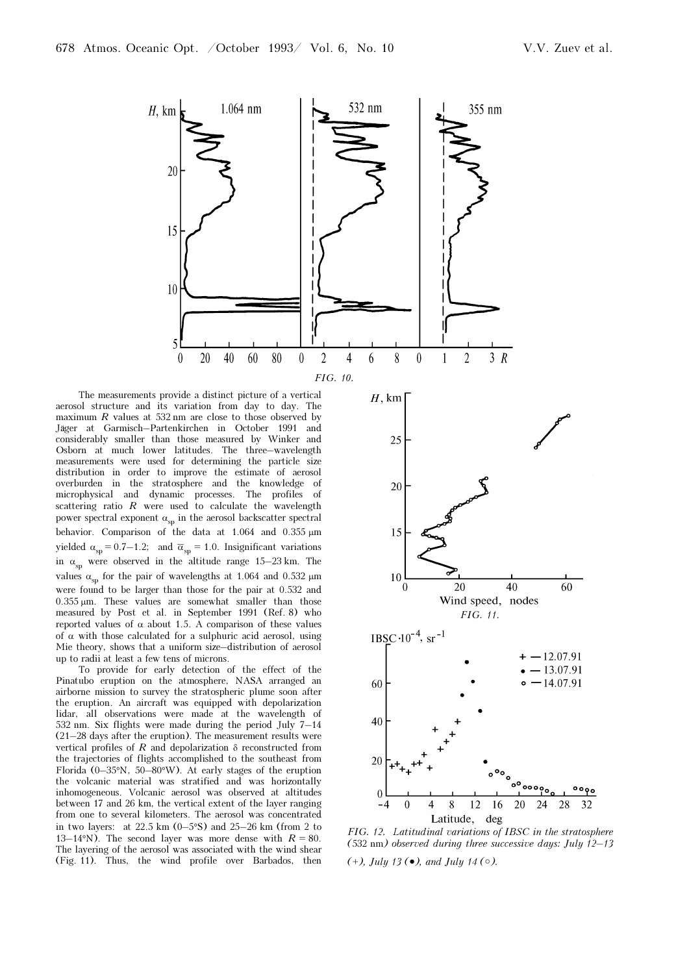

The measurements provide a distinct picture of a vertical aerosol structure and its variation from day to day. The maximum  $R$  values at 532 nm are close to those observed by Jäger at Garmisch–Partenkirchen in October 1991 and considerably smaller than those measured by Winker and Osborn at much lower latitudes. The three–wavelength measurements were used for determining the particle size distribution in order to improve the estimate of aerosol overburden in the stratosphere and the knowledge of microphysical and dynamic processes. The profiles of scattering ratio  $R$  were used to calculate the wavelength power spectral exponent  $\alpha_{\rm{sp}}$  in the aerosol backscatter spectral behavior. Comparison of the data at 1.064 and 0.355 μm yielded  $\alpha_{\rm sp} = 0.7-1.2$ ; and  $\overline{\alpha}_{\rm sp} = 1.0$ . Insignificant variations in  $\alpha_{\rm sp}$  were observed in the altitude range 15–23 km. The values  $\alpha_{\rm sn}$  for the pair of wavelengths at 1.064 and 0.532  $\mu$ m were found to be larger than those for the pair at 0.532 and 0.355 μm. These values are somewhat smaller than those measured by Post et al. in September 1991 (Ref. 8) who reported values of  $\alpha$  about 1.5. A comparison of these values of  $\alpha$  with those calculated for a sulphuric acid aerosol, using Mie theory, shows that a uniform size–distribution of aerosol up to radii at least a few tens of microns.

To provide for early detection of the effect of the Pinatubo eruption on the atmosphere, NASA arranged an airborne mission to survey the stratospheric plume soon after the eruption. An aircraft was equipped with depolarization lidar, all observations were made at the wavelength of 532 nm. Six flights were made during the period July 7–14 (21–28 days after the eruption). The measurement results were vertical profiles of R and depolarization  $\delta$  reconstructed from the trajectories of flights accomplished to the southeast from Florida (0–35°N, 50–80°W). At early stages of the eruption the volcanic material was stratified and was horizontally inhomogeneous. Volcanic aerosol was observed at altitudes between 17 and 26 km, the vertical extent of the layer ranging from one to several kilometers. The aerosol was concentrated in two layers: at 22.5 km  $(0-5°S)$  and 25–26 km (from 2 to 13–14°N). The second layer was more dense with  $R = 80$ . The layering of the aerosol was associated with the wind shear (Fig. 11). Thus, the wind profile over Barbados, then



FIG. 12. Latitudinal variations of IBSC in the stratosphere (532 nm) observed during three successive days: July 12–13

(+), July 13 ( $\bullet$ ), and July 14 ( $\circ$ ).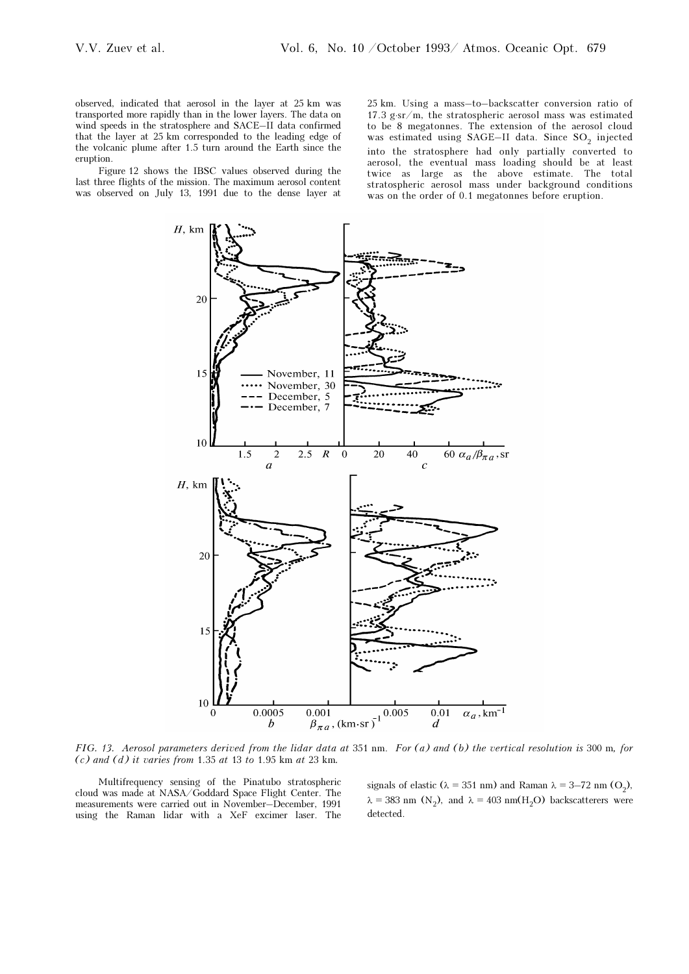observed, indicated that aerosol in the layer at 25 km was transported more rapidly than in the lower layers. The data on wind speeds in the stratosphere and SACE–II data confirmed that the layer at 25 km corresponded to the leading edge of the volcanic plume after 1.5 turn around the Earth since the eruption.

Figure 12 shows the IBSC values observed during the last three flights of the mission. The maximum aerosol content was observed on July 13, 1991 due to the dense layer at 25 km. Using a mass–to–backscatter conversion ratio of 17.3 g⋅sr/m, the stratospheric aerosol mass was estimated to be 8 megatonnes. The extension of the aerosol cloud was estimated using SAGE–II data. Since SO<sub>2</sub> injected into the stratosphere had only partially converted to aerosol, the eventual mass loading should be at least twice as large as the above estimate. The total stratospheric aerosol mass under background conditions was on the order of 0.1 megatonnes before eruption.



FIG. 13. Aerosol parameters derived from the lidar data at 351 nm. For (a) and (b) the vertical resolution is 300 m, for  $(c)$  and  $(d)$  it varies from 1.35 at 13 to 1.95 km at 23 km.

Multifrequency sensing of the Pinatubo stratospheric cloud was made at NASA/Goddard Space Flight Center. The measurements were carried out in November–December, 1991 using the Raman lidar with a XeF excimer laser. The

signals of elastic ( $\lambda = 351$  nm) and Raman  $\lambda = 3-72$  nm (O<sub>2</sub>),  $\lambda = 383$  nm (N<sub>2</sub>), and  $\lambda = 403$  nm(H<sub>2</sub>O) backscatterers were detected.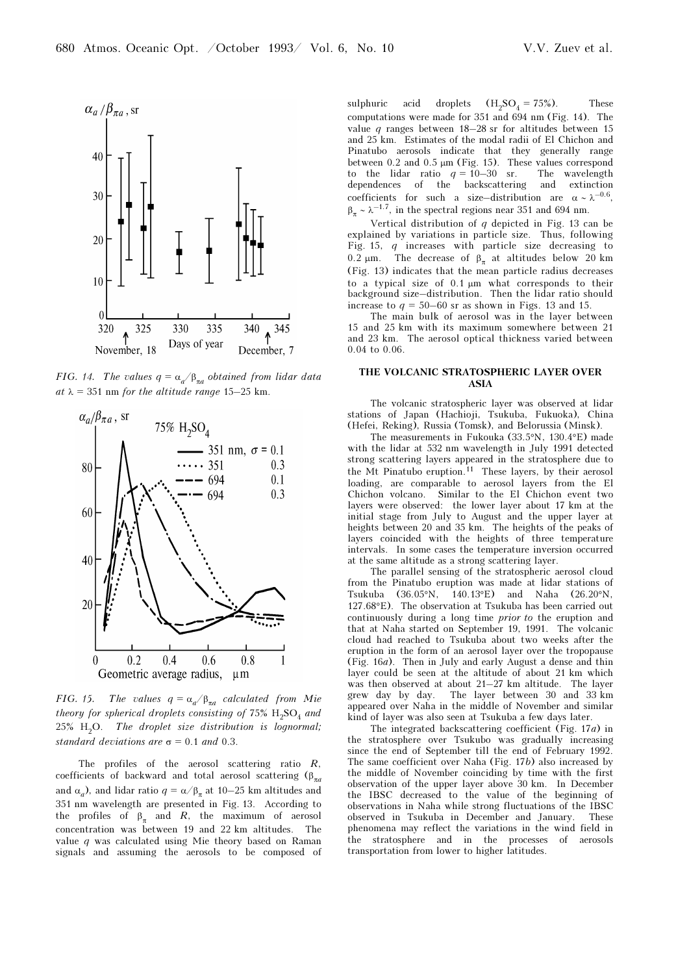

FIG. 14. The values  $q = \alpha_{q} / \beta_{\pi q}$  obtained from lidar data at  $\lambda = 351$  nm for the altitude range 15–25 km.



FIG. 15. The values  $q = \alpha_{q} / \beta_{\pi q}$  calculated from Mie theory for spherical droplets consisting of 75%  $H_2SO_4$  and  $25\%$  H<sub>2</sub>O. The droplet size distribution is lognormal; standard deviations are  $\sigma = 0.1$  and 0.3.

The profiles of the aerosol scattering ratio  $R$ , coefficients of backward and total aerosol scattering ( $\beta_{\pi a}$ and  $\alpha_a$ ), and lidar ratio  $q = \alpha/\beta_{\pi}$  at 10–25 km altitudes and 351 nm wavelength are presented in Fig. 13. According to the profiles of  $\beta_{\pi}$  and R, the maximum of aerosol concentration was between 19 and 22 km altitudes. The value  $q$  was calculated using Mie theory based on Raman signals and assuming the aerosols to be composed of sulphuric acid droplets  $(H_2SO_4 = 75\%)$ . These computations were made for 351 and 694 nm (Fig. 14). The value q ranges between 18–28 sr for altitudes between 15 and 25 km. Estimates of the modal radii of El Chichon and Pinatubo aerosols indicate that they generally range between 0.2 and 0.5 μm (Fig. 15). These values correspond to the lidar ratio  $q = 10-30$  sr. The wavelength dependences of the backscattering and extinction coefficients for such a size–distribution are  $\alpha \sim \lambda^{-0.6}$ ,  $\beta_{\pi} \sim \lambda^{-1.7}$ , in the spectral regions near 351 and 694 nm.

Vertical distribution of  $q$  depicted in Fig. 13 can be explained by variations in particle size. Thus, following Fig. 15, q increases with particle size decreasing to 0.2 μm. The decrease of  $β_π$  at altitudes below 20 km (Fig. 13) indicates that the mean particle radius decreases to a typical size of 0.1 μm what corresponds to their background size–distribution. Then the lidar ratio should increase to  $q = 50-60$  sr as shown in Figs. 13 and 15.

The main bulk of aerosol was in the layer between 15 and 25 km with its maximum somewhere between 21 and 23 km. The aerosol optical thickness varied between 0.04 to 0.06.

## THE VOLCANIC STRATOSPHERIC LAYER OVER ASIA

The volcanic stratospheric layer was observed at lidar stations of Japan (Hachioji, Tsukuba, Fukuoka), China (Hefei, Reking), Russia (Tomsk), and Belorussia (Minsk).

The measurements in Fukouka (33.5°N, 130.4°E) made with the lidar at 532 nm wavelength in July 1991 detected strong scattering layers appeared in the stratosphere due to the Mt Pinatubo eruption.<sup>11</sup> These layers, by their aerosol loading, are comparable to aerosol layers from the El Chichon volcano. Similar to the El Chichon event two layers were observed: the lower layer about 17 km at the initial stage from July to August and the upper layer at heights between 20 and 35 km. The heights of the peaks of layers coincided with the heights of three temperature intervals. In some cases the temperature inversion occurred at the same altitude as a strong scattering layer.

The parallel sensing of the stratospheric aerosol cloud from the Pinatubo eruption was made at lidar stations of Tsukuba (36.05°N, 140.13°E) and Naha (26.20°N, 127.68°E). The observation at Tsukuba has been carried out continuously during a long time prior to the eruption and that at Naha started on September 19, 1991. The volcanic cloud had reached to Tsukuba about two weeks after the eruption in the form of an aerosol layer over the tropopause (Fig. 16a). Then in July and early August a dense and thin layer could be seen at the altitude of about 21 km which was then observed at about 21–27 km altitude. The layer grew day by day. The layer between 30 and 33 km appeared over Naha in the middle of November and similar kind of layer was also seen at Tsukuba a few days later.

The integrated backscattering coefficient (Fig. 17a) in the stratosphere over Tsukubo was gradually increasing since the end of September till the end of February 1992. The same coefficient over Naha (Fig. 17b) also increased by the middle of November coinciding by time with the first observation of the upper layer above 30 km. In December the IBSC decreased to the value of the beginning of observations in Naha while strong fluctuations of the IBSC observed in Tsukuba in December and January. These phenomena may reflect the variations in the wind field in the stratosphere and in the processes of aerosols transportation from lower to higher latitudes.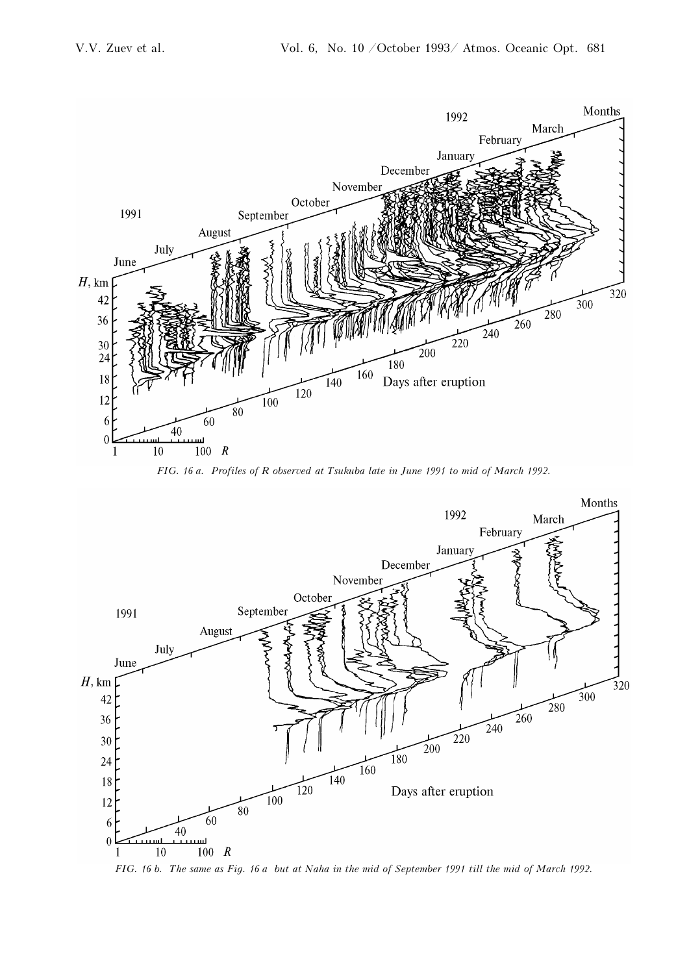

FIG. 16 a. Profiles of R observed at Tsukuba late in June 1991 to mid of March 1992.



FIG. 16 b. The same as Fig. 16 a but at Naha in the mid of September 1991 till the mid of March 1992.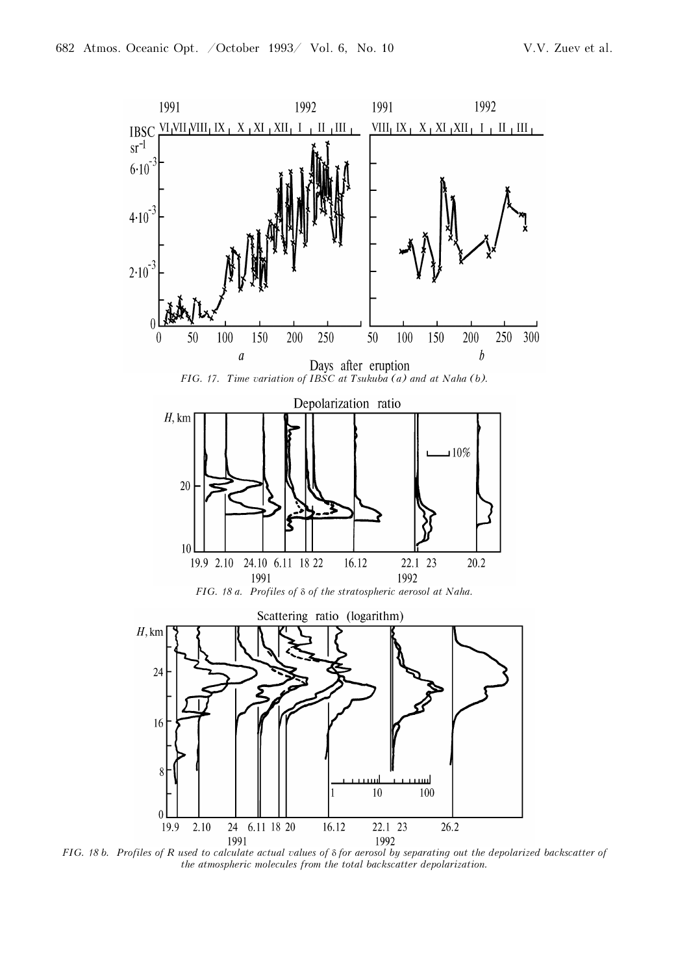

FIG. 18 b. Profiles of R used to calculate actual values of δ for aerosol by separating out the depolarized backscatter of the atmospheric molecules from the total backscatter depolarization.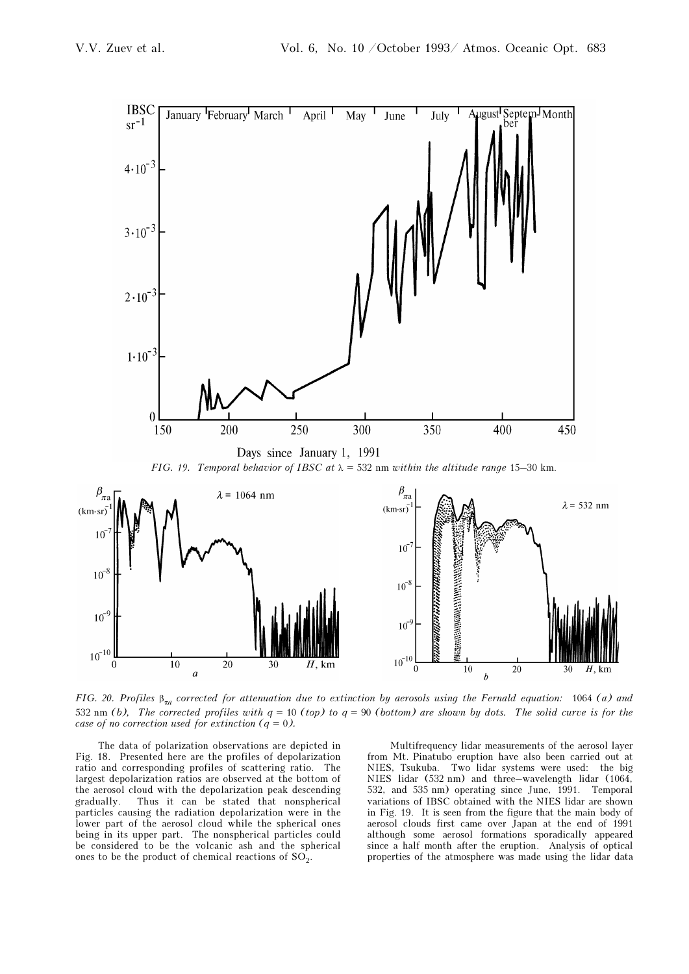

FIG. 20. Profiles  $\beta_{\pi a}$  corrected for attenuation due to extinction by aerosols using the Fernald equation: 1064 (a) and 532 nm (b), The corrected profiles with  $q = 10$  (top) to  $q = 90$  (bottom) are shown by dots. The solid curve is for the case of no correction used for extinction  $(q = 0)$ .

The data of polarization observations are depicted in Fig. 18. Presented here are the profiles of depolarization ratio and corresponding profiles of scattering ratio. The largest depolarization ratios are observed at the bottom of the aerosol cloud with the depolarization peak descending gradually. Thus it can be stated that nonspherical particles causing the radiation depolarization were in the lower part of the aerosol cloud while the spherical ones being in its upper part. The nonspherical particles could be considered to be the volcanic ash and the spherical ones to be the product of chemical reactions of  $SO<sub>2</sub>$ .

Multifrequency lidar measurements of the aerosol layer from Mt. Pinatubo eruption have also been carried out at NIES, Tsukuba. Two lidar systems were used: the big NIES lidar (532 nm) and three–wavelength lidar (1064, 532, and 535 nm) operating since June, 1991. Temporal variations of IBSC obtained with the NIES lidar are shown in Fig. 19. It is seen from the figure that the main body of aerosol clouds first came over Japan at the end of 1991 although some aerosol formations sporadically appeared since a half month after the eruption. Analysis of optical properties of the atmosphere was made using the lidar data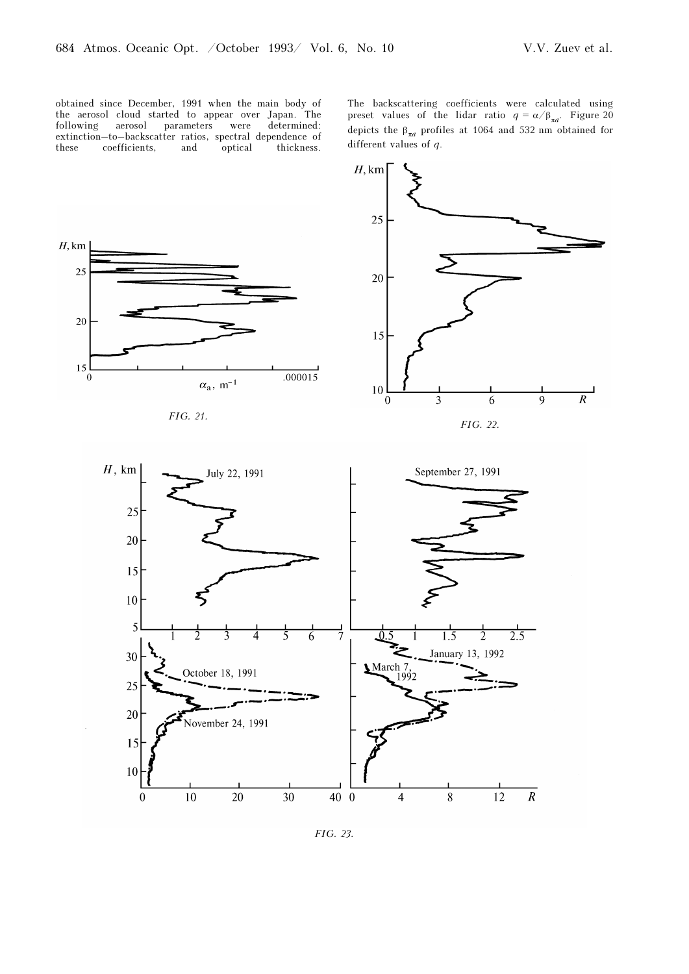obtained since December, 1991 when the main body of the aerosol cloud started to appear over Japan. The following aerosol parameters were determined: extinction–to–backscatter ratios, spectral dependence of these coefficients, and optical thickness. The backscattering coefficients were calculated using preset values of the lidar ratio  $q = \alpha/\beta_{\pi a}$ . Figure 20 depicts the  $\beta_{\pi a}$  profiles at 1064 and 532 nm obtained for different values of q.



FIG. 21.



FIG. 22.



FIG. 23.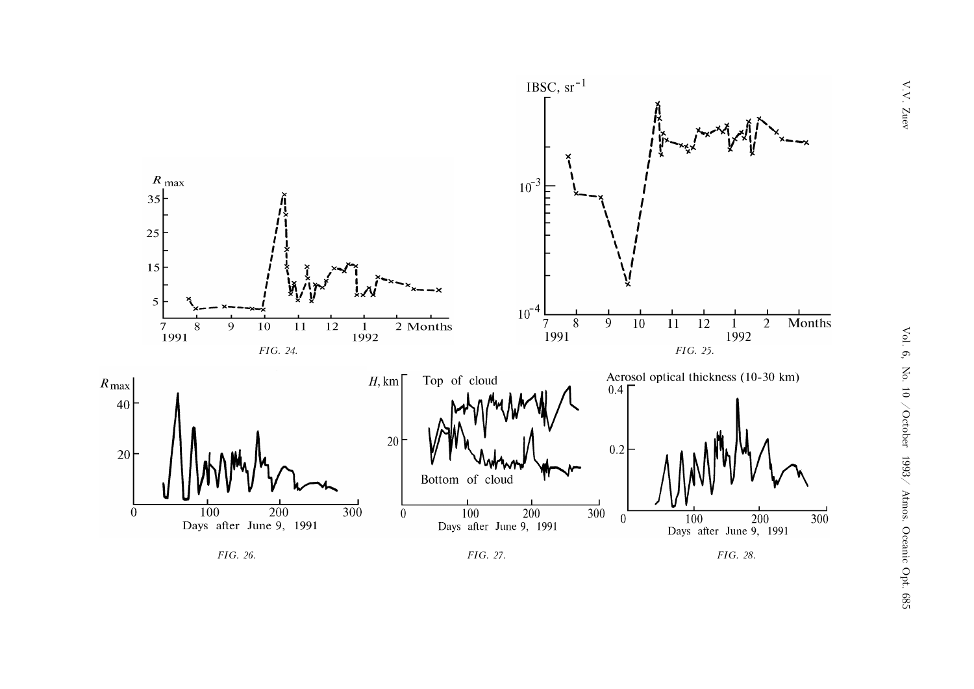





FIG. 28.